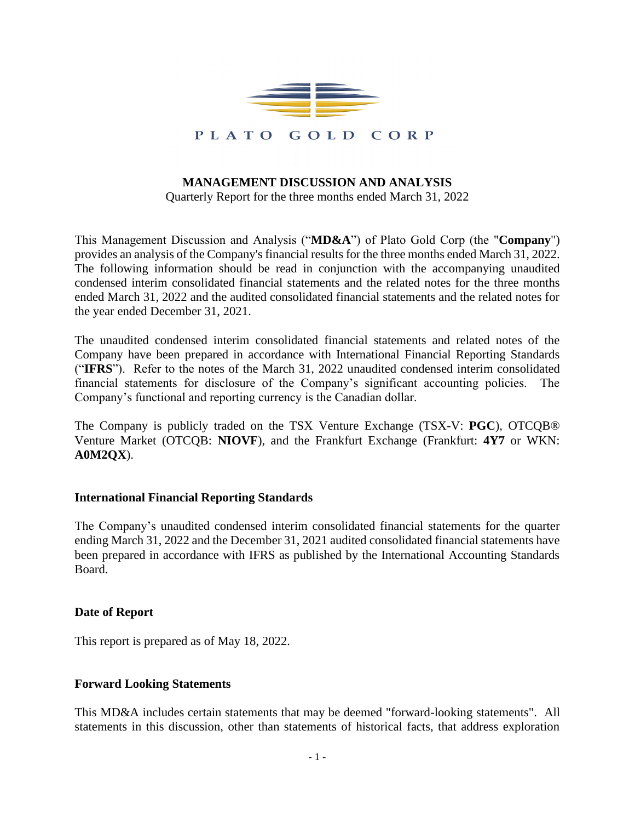

# **MANAGEMENT DISCUSSION AND ANALYSIS**

Quarterly Report for the three months ended March 31, 2022

This Management Discussion and Analysis ("**MD&A**") of Plato Gold Corp (the "**Company**") provides an analysis of the Company's financial results for the three months ended March 31, 2022. The following information should be read in conjunction with the accompanying unaudited condensed interim consolidated financial statements and the related notes for the three months ended March 31, 2022 and the audited consolidated financial statements and the related notes for the year ended December 31, 2021.

The unaudited condensed interim consolidated financial statements and related notes of the Company have been prepared in accordance with International Financial Reporting Standards ("**IFRS**"). Refer to the notes of the March 31, 2022 unaudited condensed interim consolidated financial statements for disclosure of the Company's significant accounting policies. The Company's functional and reporting currency is the Canadian dollar.

The Company is publicly traded on the TSX Venture Exchange (TSX-V: **PGC**), OTCQB® Venture Market (OTCQB: **NIOVF**), and the Frankfurt Exchange (Frankfurt: **4Y7** or WKN: **A0M2QX**).

#### **International Financial Reporting Standards**

The Company's unaudited condensed interim consolidated financial statements for the quarter ending March 31, 2022 and the December 31, 2021 audited consolidated financial statements have been prepared in accordance with IFRS as published by the International Accounting Standards Board.

#### **Date of Report**

This report is prepared as of May 18, 2022.

#### **Forward Looking Statements**

This MD&A includes certain statements that may be deemed "forward-looking statements". All statements in this discussion, other than statements of historical facts, that address exploration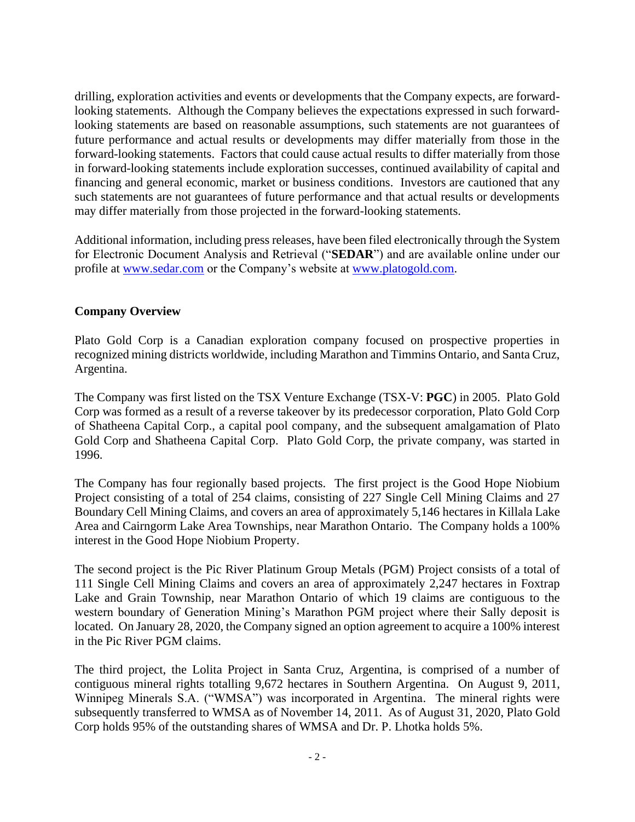drilling, exploration activities and events or developments that the Company expects, are forwardlooking statements. Although the Company believes the expectations expressed in such forwardlooking statements are based on reasonable assumptions, such statements are not guarantees of future performance and actual results or developments may differ materially from those in the forward-looking statements. Factors that could cause actual results to differ materially from those in forward-looking statements include exploration successes, continued availability of capital and financing and general economic, market or business conditions. Investors are cautioned that any such statements are not guarantees of future performance and that actual results or developments may differ materially from those projected in the forward-looking statements.

Additional information, including press releases, have been filed electronically through the System for Electronic Document Analysis and Retrieval ("**SEDAR**") and are available online under our profile at [www.sedar.com](http://www.sedar.com/) or the Company's website at [www.platogold.com.](http://www.platogold.com/)

# **Company Overview**

Plato Gold Corp is a Canadian exploration company focused on prospective properties in recognized mining districts worldwide, including Marathon and Timmins Ontario, and Santa Cruz, Argentina.

The Company was first listed on the TSX Venture Exchange (TSX-V: **PGC**) in 2005. Plato Gold Corp was formed as a result of a reverse takeover by its predecessor corporation, Plato Gold Corp of Shatheena Capital Corp., a capital pool company, and the subsequent amalgamation of Plato Gold Corp and Shatheena Capital Corp. Plato Gold Corp, the private company, was started in 1996.

The Company has four regionally based projects. The first project is the Good Hope Niobium Project consisting of a total of 254 claims, consisting of 227 Single Cell Mining Claims and 27 Boundary Cell Mining Claims, and covers an area of approximately 5,146 hectares in Killala Lake Area and Cairngorm Lake Area Townships, near Marathon Ontario. The Company holds a 100% interest in the Good Hope Niobium Property.

The second project is the Pic River Platinum Group Metals (PGM) Project consists of a total of 111 Single Cell Mining Claims and covers an area of approximately 2,247 hectares in Foxtrap Lake and Grain Township, near Marathon Ontario of which 19 claims are contiguous to the western boundary of Generation Mining's Marathon PGM project where their Sally deposit is located. On January 28, 2020, the Company signed an option agreement to acquire a 100% interest in the Pic River PGM claims.

The third project, the Lolita Project in Santa Cruz, Argentina, is comprised of a number of contiguous mineral rights totalling 9,672 hectares in Southern Argentina. On August 9, 2011, Winnipeg Minerals S.A. ("WMSA") was incorporated in Argentina. The mineral rights were subsequently transferred to WMSA as of November 14, 2011. As of August 31, 2020, Plato Gold Corp holds 95% of the outstanding shares of WMSA and Dr. P. Lhotka holds 5%.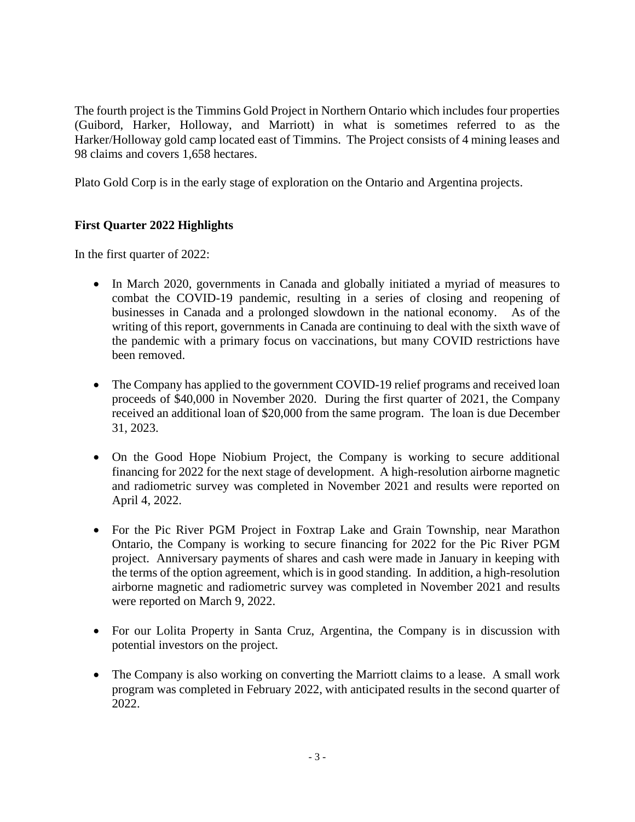The fourth project is the Timmins Gold Project in Northern Ontario which includes four properties (Guibord, Harker, Holloway, and Marriott) in what is sometimes referred to as the Harker/Holloway gold camp located east of Timmins. The Project consists of 4 mining leases and 98 claims and covers 1,658 hectares.

Plato Gold Corp is in the early stage of exploration on the Ontario and Argentina projects.

# **First Quarter 2022 Highlights**

In the first quarter of 2022:

- In March 2020, governments in Canada and globally initiated a myriad of measures to combat the COVID-19 pandemic, resulting in a series of closing and reopening of businesses in Canada and a prolonged slowdown in the national economy. As of the writing of this report, governments in Canada are continuing to deal with the sixth wave of the pandemic with a primary focus on vaccinations, but many COVID restrictions have been removed.
- The Company has applied to the government COVID-19 relief programs and received loan proceeds of \$40,000 in November 2020. During the first quarter of 2021, the Company received an additional loan of \$20,000 from the same program. The loan is due December 31, 2023.
- On the Good Hope Niobium Project, the Company is working to secure additional financing for 2022 for the next stage of development. A high-resolution airborne magnetic and radiometric survey was completed in November 2021 and results were reported on April 4, 2022.
- For the Pic River PGM Project in Foxtrap Lake and Grain Township, near Marathon Ontario, the Company is working to secure financing for 2022 for the Pic River PGM project. Anniversary payments of shares and cash were made in January in keeping with the terms of the option agreement, which is in good standing. In addition, a high-resolution airborne magnetic and radiometric survey was completed in November 2021 and results were reported on March 9, 2022.
- For our Lolita Property in Santa Cruz, Argentina, the Company is in discussion with potential investors on the project.
- The Company is also working on converting the Marriott claims to a lease. A small work program was completed in February 2022, with anticipated results in the second quarter of 2022.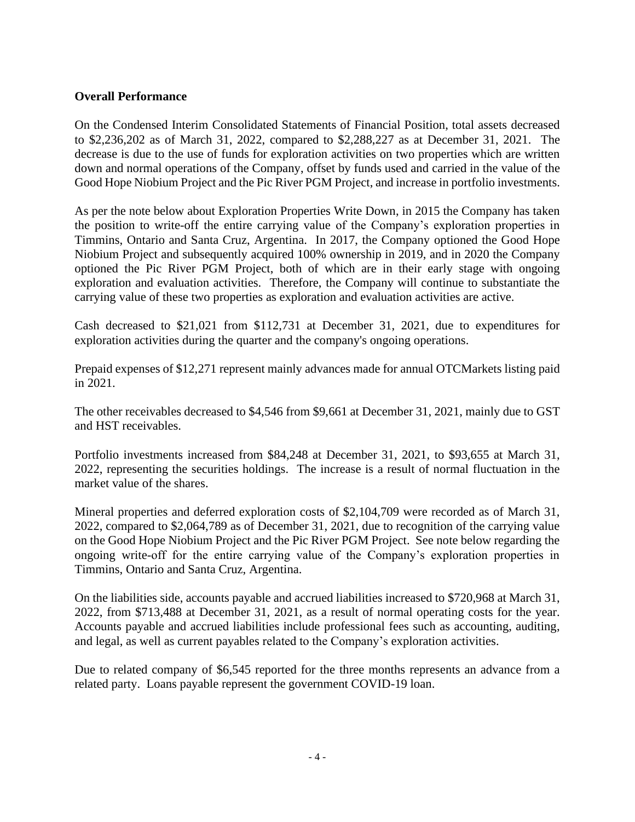# **Overall Performance**

On the Condensed Interim Consolidated Statements of Financial Position, total assets decreased to \$2,236,202 as of March 31, 2022, compared to \$2,288,227 as at December 31, 2021. The decrease is due to the use of funds for exploration activities on two properties which are written down and normal operations of the Company, offset by funds used and carried in the value of the Good Hope Niobium Project and the Pic River PGM Project, and increase in portfolio investments.

As per the note below about Exploration Properties Write Down, in 2015 the Company has taken the position to write-off the entire carrying value of the Company's exploration properties in Timmins, Ontario and Santa Cruz, Argentina. In 2017, the Company optioned the Good Hope Niobium Project and subsequently acquired 100% ownership in 2019, and in 2020 the Company optioned the Pic River PGM Project, both of which are in their early stage with ongoing exploration and evaluation activities. Therefore, the Company will continue to substantiate the carrying value of these two properties as exploration and evaluation activities are active.

Cash decreased to \$21,021 from \$112,731 at December 31, 2021, due to expenditures for exploration activities during the quarter and the company's ongoing operations.

Prepaid expenses of \$12,271 represent mainly advances made for annual OTCMarkets listing paid in 2021.

The other receivables decreased to \$4,546 from \$9,661 at December 31, 2021, mainly due to GST and HST receivables.

Portfolio investments increased from \$84,248 at December 31, 2021, to \$93,655 at March 31, 2022, representing the securities holdings. The increase is a result of normal fluctuation in the market value of the shares.

Mineral properties and deferred exploration costs of \$2,104,709 were recorded as of March 31, 2022, compared to \$2,064,789 as of December 31, 2021, due to recognition of the carrying value on the Good Hope Niobium Project and the Pic River PGM Project. See note below regarding the ongoing write-off for the entire carrying value of the Company's exploration properties in Timmins, Ontario and Santa Cruz, Argentina.

On the liabilities side, accounts payable and accrued liabilities increased to \$720,968 at March 31, 2022, from \$713,488 at December 31, 2021, as a result of normal operating costs for the year. Accounts payable and accrued liabilities include professional fees such as accounting, auditing, and legal, as well as current payables related to the Company's exploration activities.

Due to related company of \$6,545 reported for the three months represents an advance from a related party. Loans payable represent the government COVID-19 loan.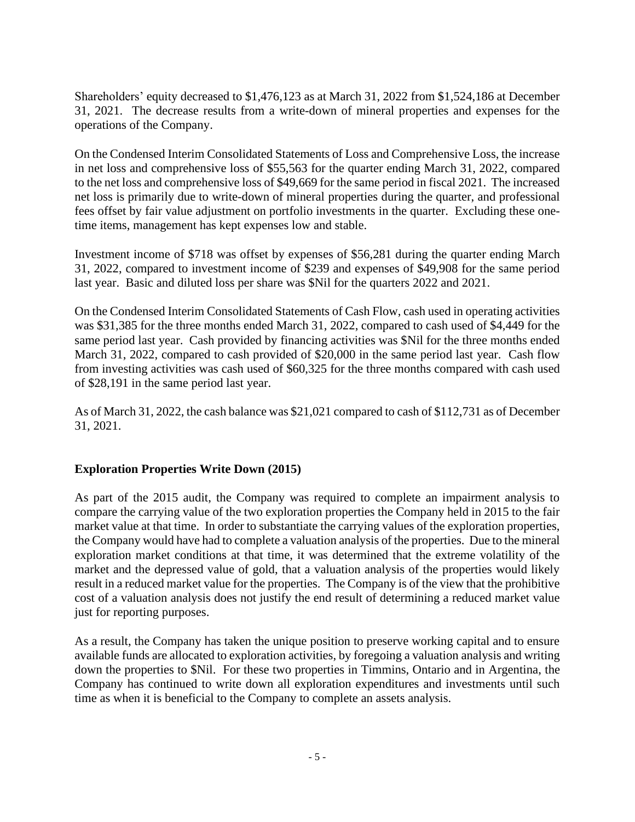Shareholders' equity decreased to \$1,476,123 as at March 31, 2022 from \$1,524,186 at December 31, 2021. The decrease results from a write-down of mineral properties and expenses for the operations of the Company.

On the Condensed Interim Consolidated Statements of Loss and Comprehensive Loss, the increase in net loss and comprehensive loss of \$55,563 for the quarter ending March 31, 2022, compared to the net loss and comprehensive loss of \$49,669 for the same period in fiscal 2021. The increased net loss is primarily due to write-down of mineral properties during the quarter, and professional fees offset by fair value adjustment on portfolio investments in the quarter. Excluding these onetime items, management has kept expenses low and stable.

Investment income of \$718 was offset by expenses of \$56,281 during the quarter ending March 31, 2022, compared to investment income of \$239 and expenses of \$49,908 for the same period last year. Basic and diluted loss per share was \$Nil for the quarters 2022 and 2021.

On the Condensed Interim Consolidated Statements of Cash Flow, cash used in operating activities was \$31,385 for the three months ended March 31, 2022, compared to cash used of \$4,449 for the same period last year. Cash provided by financing activities was \$Nil for the three months ended March 31, 2022, compared to cash provided of \$20,000 in the same period last year. Cash flow from investing activities was cash used of \$60,325 for the three months compared with cash used of \$28,191 in the same period last year.

As of March 31, 2022, the cash balance was \$21,021 compared to cash of \$112,731 as of December 31, 2021.

# **Exploration Properties Write Down (2015)**

As part of the 2015 audit, the Company was required to complete an impairment analysis to compare the carrying value of the two exploration properties the Company held in 2015 to the fair market value at that time. In order to substantiate the carrying values of the exploration properties, the Company would have had to complete a valuation analysis of the properties. Due to the mineral exploration market conditions at that time, it was determined that the extreme volatility of the market and the depressed value of gold, that a valuation analysis of the properties would likely result in a reduced market value for the properties. The Company is of the view that the prohibitive cost of a valuation analysis does not justify the end result of determining a reduced market value just for reporting purposes.

As a result, the Company has taken the unique position to preserve working capital and to ensure available funds are allocated to exploration activities, by foregoing a valuation analysis and writing down the properties to \$Nil. For these two properties in Timmins, Ontario and in Argentina, the Company has continued to write down all exploration expenditures and investments until such time as when it is beneficial to the Company to complete an assets analysis.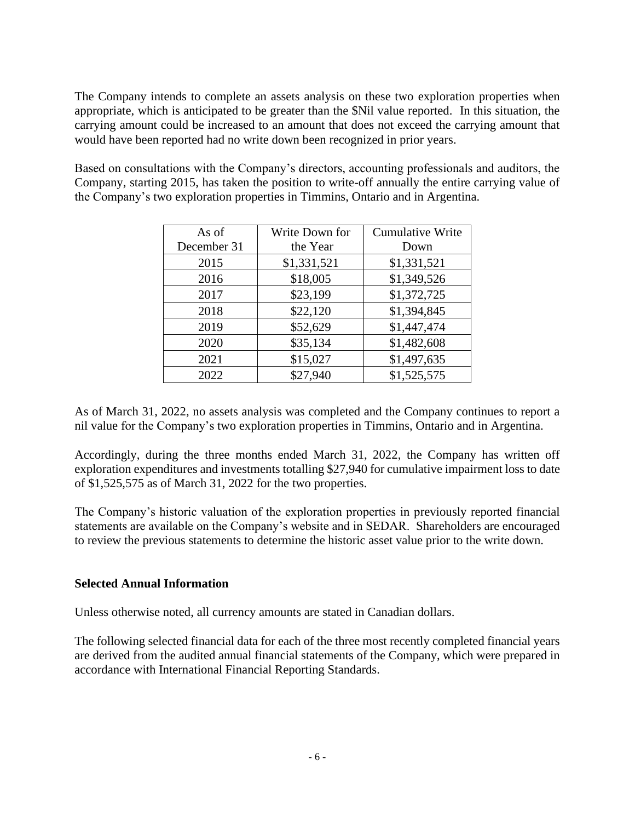The Company intends to complete an assets analysis on these two exploration properties when appropriate, which is anticipated to be greater than the \$Nil value reported. In this situation, the carrying amount could be increased to an amount that does not exceed the carrying amount that would have been reported had no write down been recognized in prior years.

Based on consultations with the Company's directors, accounting professionals and auditors, the Company, starting 2015, has taken the position to write-off annually the entire carrying value of the Company's two exploration properties in Timmins, Ontario and in Argentina.

| As of       | Write Down for | <b>Cumulative Write</b> |
|-------------|----------------|-------------------------|
| December 31 | the Year       | Down                    |
| 2015        | \$1,331,521    | \$1,331,521             |
| 2016        | \$18,005       | \$1,349,526             |
| 2017        | \$23,199       | \$1,372,725             |
| 2018        | \$22,120       | \$1,394,845             |
| 2019        | \$52,629       | \$1,447,474             |
| 2020        | \$35,134       | \$1,482,608             |
| 2021        | \$15,027       | \$1,497,635             |
| 2022        | \$27,940       | \$1,525,575             |

As of March 31, 2022, no assets analysis was completed and the Company continues to report a nil value for the Company's two exploration properties in Timmins, Ontario and in Argentina.

Accordingly, during the three months ended March 31, 2022, the Company has written off exploration expenditures and investments totalling \$27,940 for cumulative impairment loss to date of \$1,525,575 as of March 31, 2022 for the two properties.

The Company's historic valuation of the exploration properties in previously reported financial statements are available on the Company's website and in SEDAR. Shareholders are encouraged to review the previous statements to determine the historic asset value prior to the write down.

# **Selected Annual Information**

Unless otherwise noted, all currency amounts are stated in Canadian dollars.

The following selected financial data for each of the three most recently completed financial years are derived from the audited annual financial statements of the Company, which were prepared in accordance with International Financial Reporting Standards.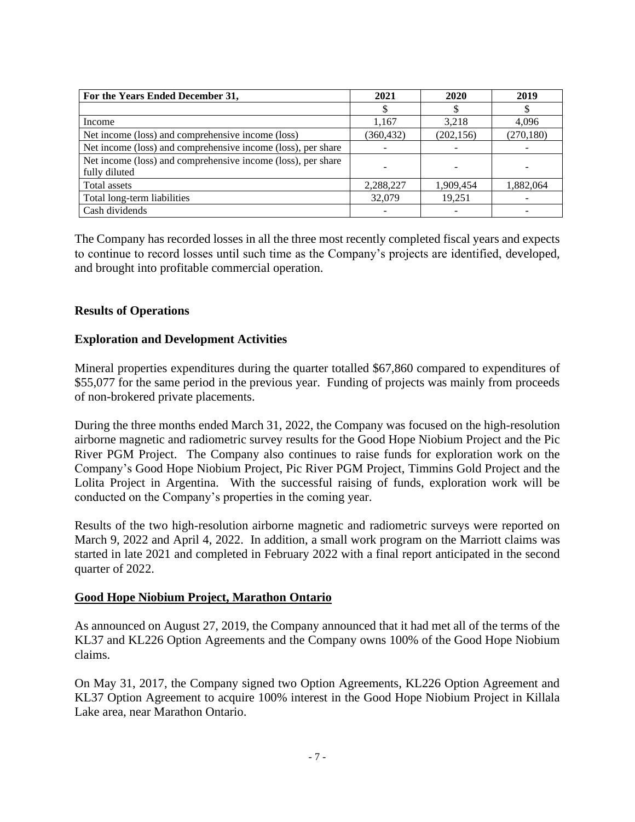| For the Years Ended December 31,                             | 2021       | 2020       | 2019       |  |
|--------------------------------------------------------------|------------|------------|------------|--|
|                                                              |            |            |            |  |
| Income                                                       | 1,167      | 3,218      | 4,096      |  |
| Net income (loss) and comprehensive income (loss)            | (360, 432) | (202, 156) | (270, 180) |  |
| Net income (loss) and comprehensive income (loss), per share |            |            |            |  |
| Net income (loss) and comprehensive income (loss), per share |            |            |            |  |
| fully diluted                                                |            |            |            |  |
| Total assets                                                 | 2.288.227  | 1,909,454  | 1.882.064  |  |
| Total long-term liabilities                                  | 32,079     | 19,251     |            |  |
| Cash dividends                                               |            |            |            |  |

The Company has recorded losses in all the three most recently completed fiscal years and expects to continue to record losses until such time as the Company's projects are identified, developed, and brought into profitable commercial operation.

# **Results of Operations**

# **Exploration and Development Activities**

Mineral properties expenditures during the quarter totalled \$67,860 compared to expenditures of \$55,077 for the same period in the previous year. Funding of projects was mainly from proceeds of non-brokered private placements.

During the three months ended March 31, 2022, the Company was focused on the high-resolution airborne magnetic and radiometric survey results for the Good Hope Niobium Project and the Pic River PGM Project. The Company also continues to raise funds for exploration work on the Company's Good Hope Niobium Project, Pic River PGM Project, Timmins Gold Project and the Lolita Project in Argentina. With the successful raising of funds, exploration work will be conducted on the Company's properties in the coming year.

Results of the two high-resolution airborne magnetic and radiometric surveys were reported on March 9, 2022 and April 4, 2022. In addition, a small work program on the Marriott claims was started in late 2021 and completed in February 2022 with a final report anticipated in the second quarter of 2022.

#### **Good Hope Niobium Project, Marathon Ontario**

As announced on August 27, 2019, the Company announced that it had met all of the terms of the KL37 and KL226 Option Agreements and the Company owns 100% of the Good Hope Niobium claims.

On May 31, 2017, the Company signed two Option Agreements, KL226 Option Agreement and KL37 Option Agreement to acquire 100% interest in the Good Hope Niobium Project in Killala Lake area, near Marathon Ontario.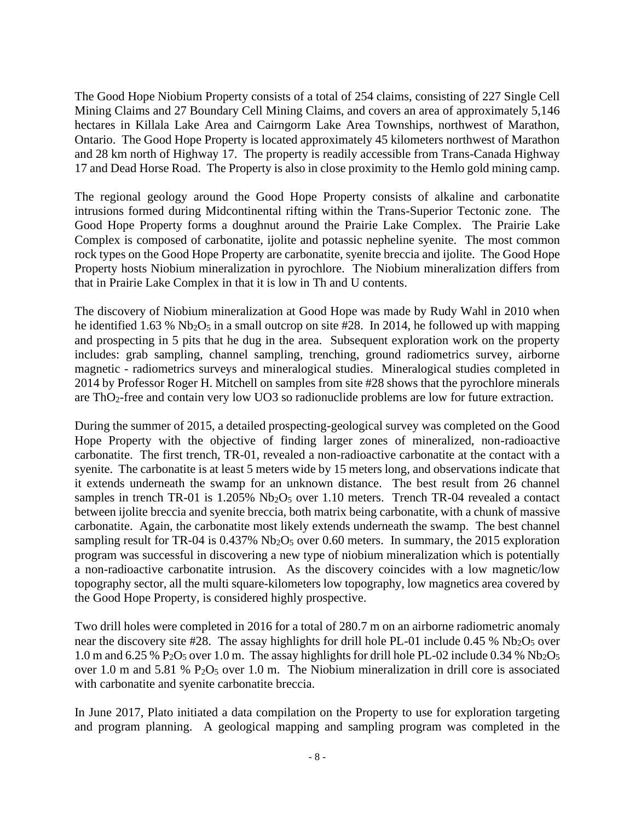The Good Hope Niobium Property consists of a total of 254 claims, consisting of 227 Single Cell Mining Claims and 27 Boundary Cell Mining Claims, and covers an area of approximately 5,146 hectares in Killala Lake Area and Cairngorm Lake Area Townships, northwest of Marathon, Ontario. The Good Hope Property is located approximately 45 kilometers northwest of Marathon and 28 km north of Highway 17. The property is readily accessible from Trans-Canada Highway 17 and Dead Horse Road. The Property is also in close proximity to the Hemlo gold mining camp.

The regional geology around the Good Hope Property consists of alkaline and carbonatite intrusions formed during Midcontinental rifting within the Trans-Superior Tectonic zone. The Good Hope Property forms a doughnut around the Prairie Lake Complex. The Prairie Lake Complex is composed of carbonatite, ijolite and potassic nepheline syenite. The most common rock types on the Good Hope Property are carbonatite, syenite breccia and ijolite. The Good Hope Property hosts Niobium mineralization in pyrochlore. The Niobium mineralization differs from that in Prairie Lake Complex in that it is low in Th and U contents.

The discovery of Niobium mineralization at Good Hope was made by Rudy Wahl in 2010 when he identified 1.63 %  $Nb<sub>2</sub>O<sub>5</sub>$  in a small outcrop on site #28. In 2014, he followed up with mapping and prospecting in 5 pits that he dug in the area. Subsequent exploration work on the property includes: grab sampling, channel sampling, trenching, ground radiometrics survey, airborne magnetic - radiometrics surveys and mineralogical studies. Mineralogical studies completed in 2014 by Professor Roger H. Mitchell on samples from site #28 shows that the pyrochlore minerals are ThO2-free and contain very low UO3 so radionuclide problems are low for future extraction.

During the summer of 2015, a detailed prospecting-geological survey was completed on the Good Hope Property with the objective of finding larger zones of mineralized, non-radioactive carbonatite. The first trench, TR-01, revealed a non-radioactive carbonatite at the contact with a syenite. The carbonatite is at least 5 meters wide by 15 meters long, and observations indicate that it extends underneath the swamp for an unknown distance. The best result from 26 channel samples in trench TR-01 is  $1.205\%$  Nb<sub>2</sub>O<sub>5</sub> over 1.10 meters. Trench TR-04 revealed a contact between ijolite breccia and syenite breccia, both matrix being carbonatite, with a chunk of massive carbonatite. Again, the carbonatite most likely extends underneath the swamp. The best channel sampling result for TR-04 is 0.437% Nb<sub>2</sub>O<sub>5</sub> over 0.60 meters. In summary, the 2015 exploration program was successful in discovering a new type of niobium mineralization which is potentially a non-radioactive carbonatite intrusion. As the discovery coincides with a low magnetic/low topography sector, all the multi square-kilometers low topography, low magnetics area covered by the Good Hope Property, is considered highly prospective.

Two drill holes were completed in 2016 for a total of 280.7 m on an airborne radiometric anomaly near the discovery site #28. The assay highlights for drill hole PL-01 include  $0.45\%$  Nb<sub>2</sub>O<sub>5</sub> over 1.0 m and 6.25 % P<sub>2</sub>O<sub>5</sub> over 1.0 m. The assay highlights for drill hole PL-02 include 0.34 % Nb<sub>2</sub>O<sub>5</sub> over 1.0 m and 5.81 %  $P_2O_5$  over 1.0 m. The Niobium mineralization in drill core is associated with carbonatite and syenite carbonatite breccia.

In June 2017, Plato initiated a data compilation on the Property to use for exploration targeting and program planning. A geological mapping and sampling program was completed in the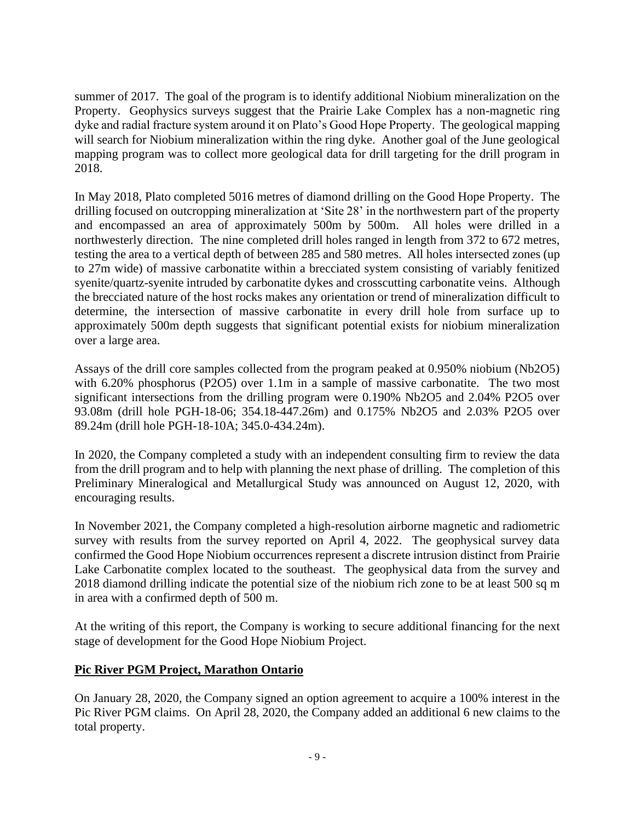summer of 2017. The goal of the program is to identify additional Niobium mineralization on the Property. Geophysics surveys suggest that the Prairie Lake Complex has a non-magnetic ring dyke and radial fracture system around it on Plato's Good Hope Property. The geological mapping will search for Niobium mineralization within the ring dyke. Another goal of the June geological mapping program was to collect more geological data for drill targeting for the drill program in 2018.

In May 2018, Plato completed 5016 metres of diamond drilling on the Good Hope Property. The drilling focused on outcropping mineralization at 'Site 28' in the northwestern part of the property and encompassed an area of approximately 500m by 500m. All holes were drilled in a northwesterly direction. The nine completed drill holes ranged in length from 372 to 672 metres, testing the area to a vertical depth of between 285 and 580 metres. All holes intersected zones (up to 27m wide) of massive carbonatite within a brecciated system consisting of variably fenitized syenite/quartz-syenite intruded by carbonatite dykes and crosscutting carbonatite veins. Although the brecciated nature of the host rocks makes any orientation or trend of mineralization difficult to determine, the intersection of massive carbonatite in every drill hole from surface up to approximately 500m depth suggests that significant potential exists for niobium mineralization over a large area.

Assays of the drill core samples collected from the program peaked at 0.950% niobium (Nb2O5) with 6.20% phosphorus (P2O5) over 1.1m in a sample of massive carbonatite. The two most significant intersections from the drilling program were 0.190% Nb2O5 and 2.04% P2O5 over 93.08m (drill hole PGH-18-06; 354.18-447.26m) and 0.175% Nb2O5 and 2.03% P2O5 over 89.24m (drill hole PGH-18-10A; 345.0-434.24m).

In 2020, the Company completed a study with an independent consulting firm to review the data from the drill program and to help with planning the next phase of drilling. The completion of this Preliminary Mineralogical and Metallurgical Study was announced on August 12, 2020, with encouraging results.

In November 2021, the Company completed a high-resolution airborne magnetic and radiometric survey with results from the survey reported on April 4, 2022. The geophysical survey data confirmed the Good Hope Niobium occurrences represent a discrete intrusion distinct from Prairie Lake Carbonatite complex located to the southeast. The geophysical data from the survey and 2018 diamond drilling indicate the potential size of the niobium rich zone to be at least 500 sq m in area with a confirmed depth of 500 m.

At the writing of this report, the Company is working to secure additional financing for the next stage of development for the Good Hope Niobium Project.

# **Pic River PGM Project, Marathon Ontario**

On January 28, 2020, the Company signed an option agreement to acquire a 100% interest in the Pic River PGM claims. On April 28, 2020, the Company added an additional 6 new claims to the total property.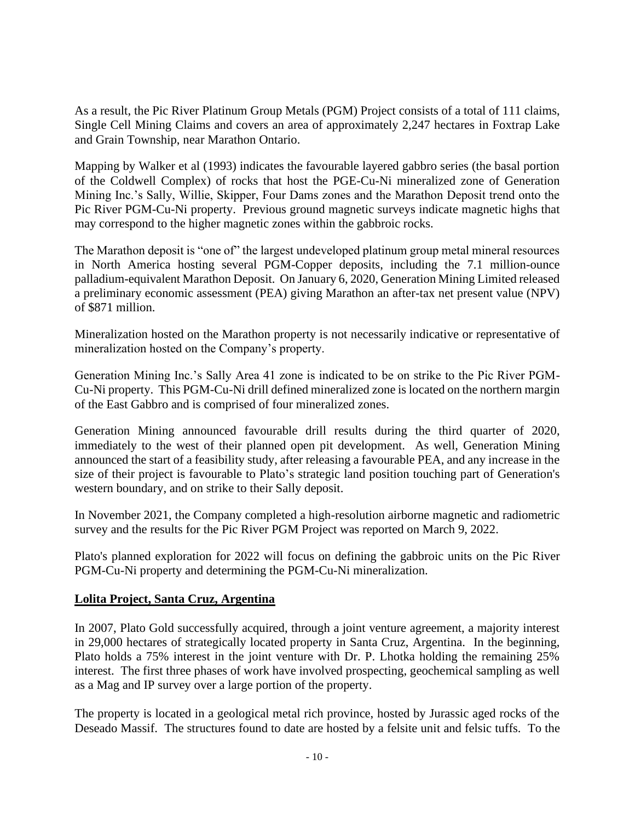As a result, the Pic River Platinum Group Metals (PGM) Project consists of a total of 111 claims, Single Cell Mining Claims and covers an area of approximately 2,247 hectares in Foxtrap Lake and Grain Township, near Marathon Ontario.

Mapping by Walker et al (1993) indicates the favourable layered gabbro series (the basal portion of the Coldwell Complex) of rocks that host the PGE-Cu-Ni mineralized zone of Generation Mining Inc.'s Sally, Willie, Skipper, Four Dams zones and the Marathon Deposit trend onto the Pic River PGM-Cu-Ni property. Previous ground magnetic surveys indicate magnetic highs that may correspond to the higher magnetic zones within the gabbroic rocks.

The Marathon deposit is "one of" the largest undeveloped platinum group metal mineral resources in North America hosting several PGM-Copper deposits, including the 7.1 million-ounce palladium-equivalent Marathon Deposit. On January 6, 2020, Generation Mining Limited released a preliminary economic assessment (PEA) giving Marathon an after-tax net present value (NPV) of \$871 million.

Mineralization hosted on the Marathon property is not necessarily indicative or representative of mineralization hosted on the Company's property.

Generation Mining Inc.'s Sally Area 41 zone is indicated to be on strike to the Pic River PGM-Cu-Ni property. This PGM-Cu-Ni drill defined mineralized zone is located on the northern margin of the East Gabbro and is comprised of four mineralized zones.

Generation Mining announced favourable drill results during the third quarter of 2020, immediately to the west of their planned open pit development. As well, Generation Mining announced the start of a feasibility study, after releasing a favourable PEA, and any increase in the size of their project is favourable to Plato's strategic land position touching part of Generation's western boundary, and on strike to their Sally deposit.

In November 2021, the Company completed a high-resolution airborne magnetic and radiometric survey and the results for the Pic River PGM Project was reported on March 9, 2022.

Plato's planned exploration for 2022 will focus on defining the gabbroic units on the Pic River PGM-Cu-Ni property and determining the PGM-Cu-Ni mineralization.

# **Lolita Project, Santa Cruz, Argentina**

In 2007, Plato Gold successfully acquired, through a joint venture agreement, a majority interest in 29,000 hectares of strategically located property in Santa Cruz, Argentina. In the beginning, Plato holds a 75% interest in the joint venture with Dr. P. Lhotka holding the remaining 25% interest. The first three phases of work have involved prospecting, geochemical sampling as well as a Mag and IP survey over a large portion of the property.

The property is located in a geological metal rich province, hosted by Jurassic aged rocks of the Deseado Massif. The structures found to date are hosted by a felsite unit and felsic tuffs. To the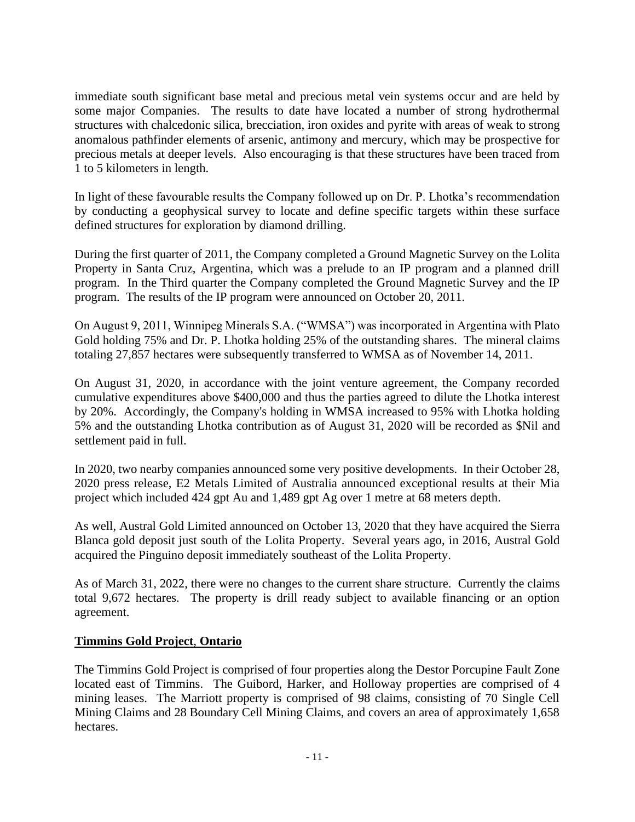immediate south significant base metal and precious metal vein systems occur and are held by some major Companies. The results to date have located a number of strong hydrothermal structures with chalcedonic silica, brecciation, iron oxides and pyrite with areas of weak to strong anomalous pathfinder elements of arsenic, antimony and mercury, which may be prospective for precious metals at deeper levels. Also encouraging is that these structures have been traced from 1 to 5 kilometers in length.

In light of these favourable results the Company followed up on Dr. P. Lhotka's recommendation by conducting a geophysical survey to locate and define specific targets within these surface defined structures for exploration by diamond drilling.

During the first quarter of 2011, the Company completed a Ground Magnetic Survey on the Lolita Property in Santa Cruz, Argentina, which was a prelude to an IP program and a planned drill program. In the Third quarter the Company completed the Ground Magnetic Survey and the IP program. The results of the IP program were announced on October 20, 2011.

On August 9, 2011, Winnipeg Minerals S.A. ("WMSA") was incorporated in Argentina with Plato Gold holding 75% and Dr. P. Lhotka holding 25% of the outstanding shares. The mineral claims totaling 27,857 hectares were subsequently transferred to WMSA as of November 14, 2011.

On August 31, 2020, in accordance with the joint venture agreement, the Company recorded cumulative expenditures above \$400,000 and thus the parties agreed to dilute the Lhotka interest by 20%. Accordingly, the Company's holding in WMSA increased to 95% with Lhotka holding 5% and the outstanding Lhotka contribution as of August 31, 2020 will be recorded as \$Nil and settlement paid in full.

In 2020, two nearby companies announced some very positive developments. In their October 28, 2020 press release, E2 Metals Limited of Australia announced exceptional results at their Mia project which included 424 gpt Au and 1,489 gpt Ag over 1 metre at 68 meters depth.

As well, Austral Gold Limited announced on October 13, 2020 that they have acquired the Sierra Blanca gold deposit just south of the Lolita Property. Several years ago, in 2016, Austral Gold acquired the Pinguino deposit immediately southeast of the Lolita Property.

As of March 31, 2022, there were no changes to the current share structure. Currently the claims total 9,672 hectares. The property is drill ready subject to available financing or an option agreement.

# **Timmins Gold Project**, **Ontario**

The Timmins Gold Project is comprised of four properties along the Destor Porcupine Fault Zone located east of Timmins. The Guibord, Harker, and Holloway properties are comprised of 4 mining leases. The Marriott property is comprised of 98 claims, consisting of 70 Single Cell Mining Claims and 28 Boundary Cell Mining Claims, and covers an area of approximately 1,658 hectares.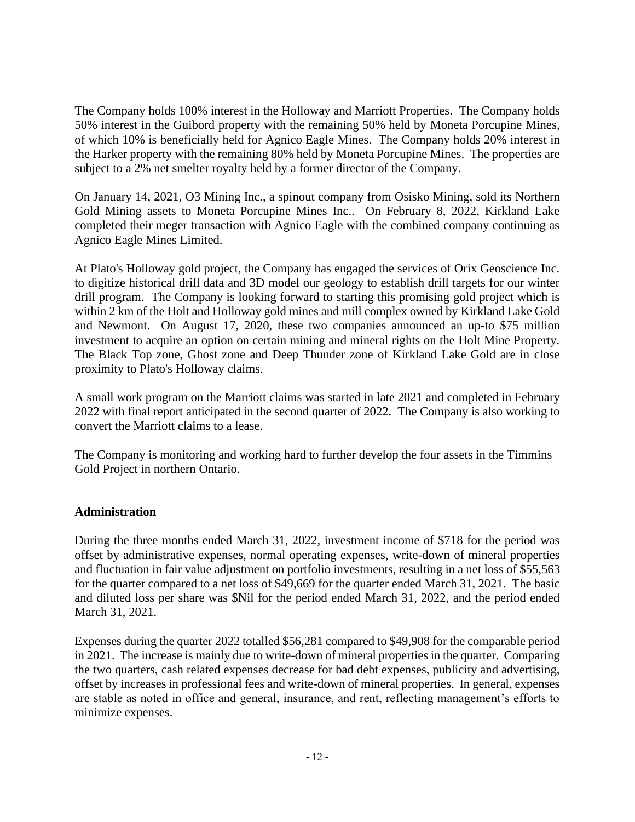The Company holds 100% interest in the Holloway and Marriott Properties. The Company holds 50% interest in the Guibord property with the remaining 50% held by Moneta Porcupine Mines, of which 10% is beneficially held for Agnico Eagle Mines. The Company holds 20% interest in the Harker property with the remaining 80% held by Moneta Porcupine Mines. The properties are subject to a 2% net smelter royalty held by a former director of the Company.

On January 14, 2021, O3 Mining Inc., a spinout company from Osisko Mining, sold its Northern Gold Mining assets to Moneta Porcupine Mines Inc.. On February 8, 2022, Kirkland Lake completed their meger transaction with Agnico Eagle with the combined company continuing as Agnico Eagle Mines Limited.

At Plato's Holloway gold project, the Company has engaged the services of Orix Geoscience Inc. to digitize historical drill data and 3D model our geology to establish drill targets for our winter drill program. The Company is looking forward to starting this promising gold project which is within 2 km of the Holt and Holloway gold mines and mill complex owned by Kirkland Lake Gold and Newmont. On August 17, 2020, these two companies announced an up-to \$75 million investment to acquire an option on certain mining and mineral rights on the Holt Mine Property. The Black Top zone, Ghost zone and Deep Thunder zone of Kirkland Lake Gold are in close proximity to Plato's Holloway claims.

A small work program on the Marriott claims was started in late 2021 and completed in February 2022 with final report anticipated in the second quarter of 2022. The Company is also working to convert the Marriott claims to a lease.

The Company is monitoring and working hard to further develop the four assets in the Timmins Gold Project in northern Ontario.

# **Administration**

During the three months ended March 31, 2022, investment income of \$718 for the period was offset by administrative expenses, normal operating expenses, write-down of mineral properties and fluctuation in fair value adjustment on portfolio investments, resulting in a net loss of \$55,563 for the quarter compared to a net loss of \$49,669 for the quarter ended March 31, 2021. The basic and diluted loss per share was \$Nil for the period ended March 31, 2022, and the period ended March 31, 2021.

Expenses during the quarter 2022 totalled \$56,281 compared to \$49,908 for the comparable period in 2021. The increase is mainly due to write-down of mineral properties in the quarter. Comparing the two quarters, cash related expenses decrease for bad debt expenses, publicity and advertising, offset by increases in professional fees and write-down of mineral properties. In general, expenses are stable as noted in office and general, insurance, and rent, reflecting management's efforts to minimize expenses.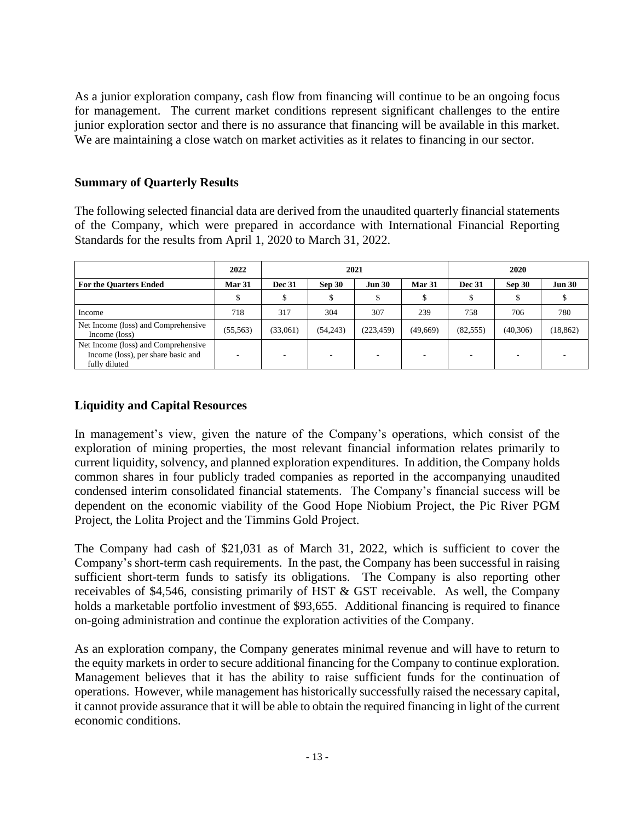As a junior exploration company, cash flow from financing will continue to be an ongoing focus for management. The current market conditions represent significant challenges to the entire junior exploration sector and there is no assurance that financing will be available in this market. We are maintaining a close watch on market activities as it relates to financing in our sector.

# **Summary of Quarterly Results**

The following selected financial data are derived from the unaudited quarterly financial statements of the Company, which were prepared in accordance with International Financial Reporting Standards for the results from April 1, 2020 to March 31, 2022.

|                                                                                            | 2022      | 2021          |               |               | 2020     |               |          |               |
|--------------------------------------------------------------------------------------------|-----------|---------------|---------------|---------------|----------|---------------|----------|---------------|
| <b>For the Quarters Ended</b>                                                              | Mar 31    | <b>Dec 31</b> | <b>Sep 30</b> | <b>Jun 30</b> | Mar 31   | <b>Dec 31</b> | Sep 30   | <b>Jun 30</b> |
|                                                                                            |           | Φ             | Φ             | ъ             |          |               |          |               |
| Income                                                                                     | 718       | 317           | 304           | 307           | 239      | 758           | 706      | 780           |
| Net Income (loss) and Comprehensive<br>Income (loss)                                       | (55, 563) | (33,061)      | (54,243)      | (223, 459)    | (49,669) | (82, 555)     | (40,306) | (18, 862)     |
| Net Income (loss) and Comprehensive<br>Income (loss), per share basic and<br>fully diluted |           |               |               |               |          |               |          |               |

# **Liquidity and Capital Resources**

In management's view, given the nature of the Company's operations, which consist of the exploration of mining properties, the most relevant financial information relates primarily to current liquidity, solvency, and planned exploration expenditures. In addition, the Company holds common shares in four publicly traded companies as reported in the accompanying unaudited condensed interim consolidated financial statements. The Company's financial success will be dependent on the economic viability of the Good Hope Niobium Project, the Pic River PGM Project, the Lolita Project and the Timmins Gold Project.

The Company had cash of \$21,031 as of March 31, 2022, which is sufficient to cover the Company's short-term cash requirements. In the past, the Company has been successful in raising sufficient short-term funds to satisfy its obligations. The Company is also reporting other receivables of \$4,546, consisting primarily of HST & GST receivable. As well, the Company holds a marketable portfolio investment of \$93,655. Additional financing is required to finance on-going administration and continue the exploration activities of the Company.

As an exploration company, the Company generates minimal revenue and will have to return to the equity markets in order to secure additional financing for the Company to continue exploration. Management believes that it has the ability to raise sufficient funds for the continuation of operations. However, while management has historically successfully raised the necessary capital, it cannot provide assurance that it will be able to obtain the required financing in light of the current economic conditions.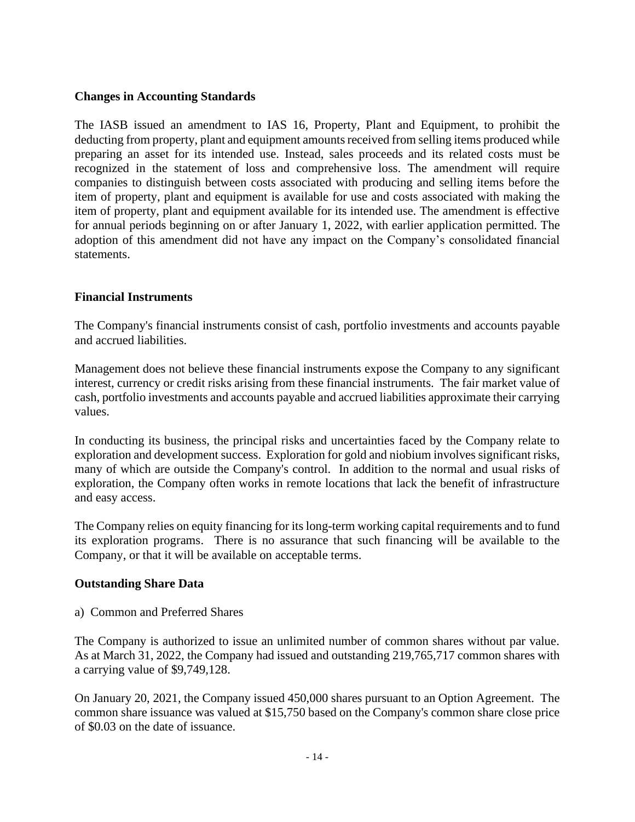# **Changes in Accounting Standards**

The IASB issued an amendment to IAS 16, Property, Plant and Equipment, to prohibit the deducting from property, plant and equipment amounts received from selling items produced while preparing an asset for its intended use. Instead, sales proceeds and its related costs must be recognized in the statement of loss and comprehensive loss. The amendment will require companies to distinguish between costs associated with producing and selling items before the item of property, plant and equipment is available for use and costs associated with making the item of property, plant and equipment available for its intended use. The amendment is effective for annual periods beginning on or after January 1, 2022, with earlier application permitted. The adoption of this amendment did not have any impact on the Company's consolidated financial statements.

# **Financial Instruments**

The Company's financial instruments consist of cash, portfolio investments and accounts payable and accrued liabilities.

Management does not believe these financial instruments expose the Company to any significant interest, currency or credit risks arising from these financial instruments. The fair market value of cash, portfolio investments and accounts payable and accrued liabilities approximate their carrying values.

In conducting its business, the principal risks and uncertainties faced by the Company relate to exploration and development success. Exploration for gold and niobium involves significant risks, many of which are outside the Company's control. In addition to the normal and usual risks of exploration, the Company often works in remote locations that lack the benefit of infrastructure and easy access.

The Company relies on equity financing for its long-term working capital requirements and to fund its exploration programs. There is no assurance that such financing will be available to the Company, or that it will be available on acceptable terms.

#### **Outstanding Share Data**

a) Common and Preferred Shares

The Company is authorized to issue an unlimited number of common shares without par value. As at March 31, 2022, the Company had issued and outstanding 219,765,717 common shares with a carrying value of \$9,749,128.

On January 20, 2021, the Company issued 450,000 shares pursuant to an Option Agreement. The common share issuance was valued at \$15,750 based on the Company's common share close price of \$0.03 on the date of issuance.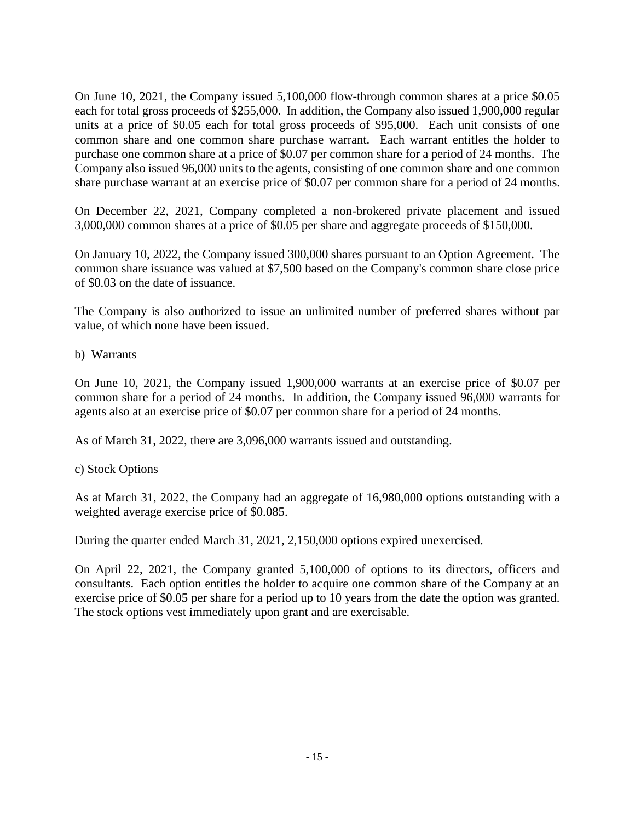On June 10, 2021, the Company issued 5,100,000 flow-through common shares at a price \$0.05 each for total gross proceeds of \$255,000. In addition, the Company also issued 1,900,000 regular units at a price of \$0.05 each for total gross proceeds of \$95,000. Each unit consists of one common share and one common share purchase warrant. Each warrant entitles the holder to purchase one common share at a price of \$0.07 per common share for a period of 24 months. The Company also issued 96,000 units to the agents, consisting of one common share and one common share purchase warrant at an exercise price of \$0.07 per common share for a period of 24 months.

On December 22, 2021, Company completed a non-brokered private placement and issued 3,000,000 common shares at a price of \$0.05 per share and aggregate proceeds of \$150,000.

On January 10, 2022, the Company issued 300,000 shares pursuant to an Option Agreement. The common share issuance was valued at \$7,500 based on the Company's common share close price of \$0.03 on the date of issuance.

The Company is also authorized to issue an unlimited number of preferred shares without par value, of which none have been issued.

b) Warrants

On June 10, 2021, the Company issued 1,900,000 warrants at an exercise price of \$0.07 per common share for a period of 24 months. In addition, the Company issued 96,000 warrants for agents also at an exercise price of \$0.07 per common share for a period of 24 months.

As of March 31, 2022, there are 3,096,000 warrants issued and outstanding.

# c) Stock Options

As at March 31, 2022, the Company had an aggregate of 16,980,000 options outstanding with a weighted average exercise price of \$0.085.

During the quarter ended March 31, 2021, 2,150,000 options expired unexercised.

On April 22, 2021, the Company granted 5,100,000 of options to its directors, officers and consultants. Each option entitles the holder to acquire one common share of the Company at an exercise price of \$0.05 per share for a period up to 10 years from the date the option was granted. The stock options vest immediately upon grant and are exercisable.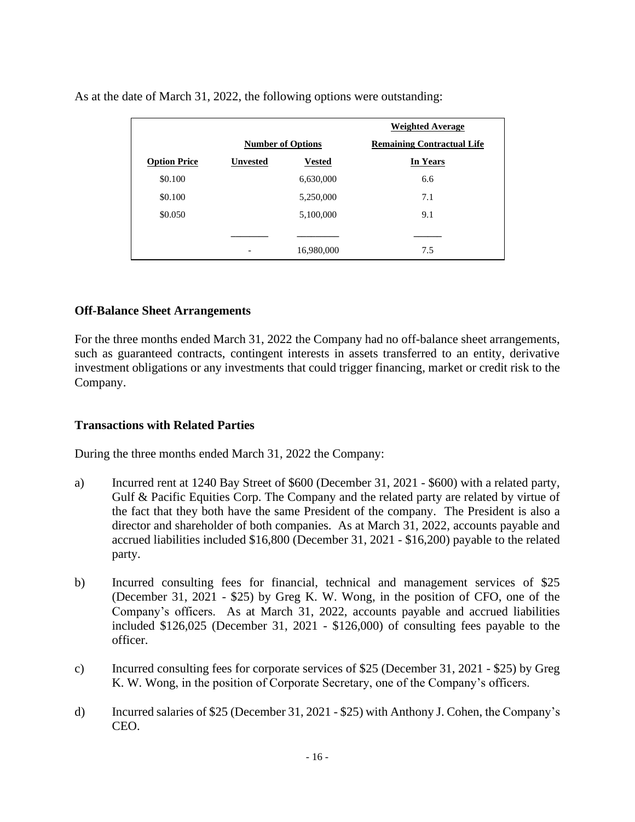|                     |                          |               | <b>Weighted Average</b>           |
|---------------------|--------------------------|---------------|-----------------------------------|
|                     | <b>Number of Options</b> |               | <b>Remaining Contractual Life</b> |
| <b>Option Price</b> | <b>Unvested</b>          | <b>Vested</b> | In Years                          |
| \$0.100             |                          | 6,630,000     | 6.6                               |
| \$0.100             |                          | 5,250,000     | 7.1                               |
| \$0.050             |                          | 5,100,000     | 9.1                               |
|                     |                          |               |                                   |
|                     |                          | 16,980,000    | 7.5                               |

As at the date of March 31, 2022, the following options were outstanding:

#### **Off-Balance Sheet Arrangements**

For the three months ended March 31, 2022 the Company had no off-balance sheet arrangements, such as guaranteed contracts, contingent interests in assets transferred to an entity, derivative investment obligations or any investments that could trigger financing, market or credit risk to the Company.

#### **Transactions with Related Parties**

During the three months ended March 31, 2022 the Company:

- a) Incurred rent at 1240 Bay Street of \$600 (December 31, 2021 \$600) with a related party, Gulf & Pacific Equities Corp. The Company and the related party are related by virtue of the fact that they both have the same President of the company. The President is also a director and shareholder of both companies. As at March 31, 2022, accounts payable and accrued liabilities included \$16,800 (December 31, 2021 - \$16,200) payable to the related party.
- b) Incurred consulting fees for financial, technical and management services of \$25 (December 31, 2021 - \$25) by Greg K. W. Wong, in the position of CFO, one of the Company's officers. As at March 31, 2022, accounts payable and accrued liabilities included \$126,025 (December 31, 2021 - \$126,000) of consulting fees payable to the officer.
- c) Incurred consulting fees for corporate services of \$25 (December 31, 2021 \$25) by Greg K. W. Wong, in the position of Corporate Secretary, one of the Company's officers.
- d) Incurred salaries of \$25 (December 31, 2021 \$25) with Anthony J. Cohen, the Company's CEO.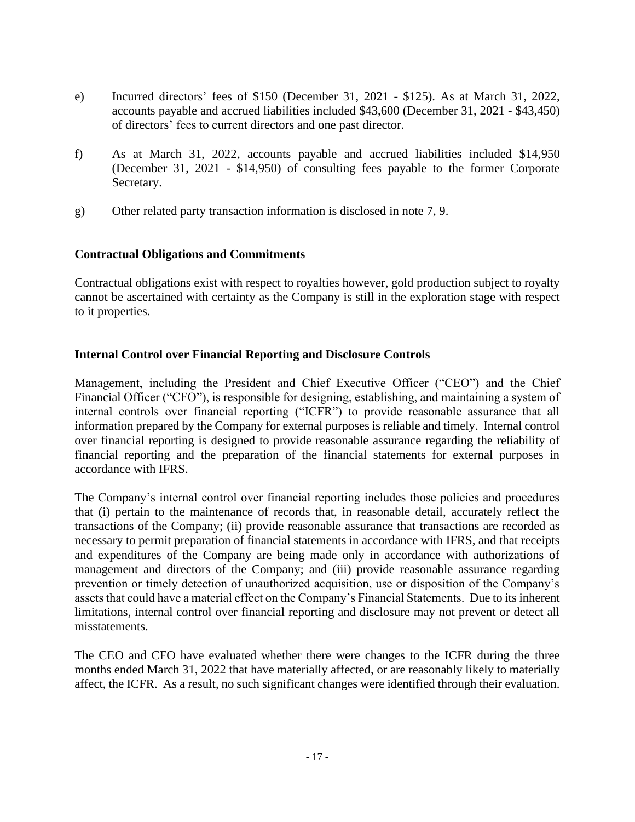- e) Incurred directors' fees of \$150 (December 31, 2021 \$125). As at March 31, 2022, accounts payable and accrued liabilities included \$43,600 (December 31, 2021 - \$43,450) of directors' fees to current directors and one past director.
- f) As at March 31, 2022, accounts payable and accrued liabilities included \$14,950 (December 31, 2021 - \$14,950) of consulting fees payable to the former Corporate Secretary.
- g) Other related party transaction information is disclosed in note 7, 9.

# **Contractual Obligations and Commitments**

Contractual obligations exist with respect to royalties however, gold production subject to royalty cannot be ascertained with certainty as the Company is still in the exploration stage with respect to it properties.

#### **Internal Control over Financial Reporting and Disclosure Controls**

Management, including the President and Chief Executive Officer ("CEO") and the Chief Financial Officer ("CFO"), is responsible for designing, establishing, and maintaining a system of internal controls over financial reporting ("ICFR") to provide reasonable assurance that all information prepared by the Company for external purposes is reliable and timely. Internal control over financial reporting is designed to provide reasonable assurance regarding the reliability of financial reporting and the preparation of the financial statements for external purposes in accordance with IFRS.

The Company's internal control over financial reporting includes those policies and procedures that (i) pertain to the maintenance of records that, in reasonable detail, accurately reflect the transactions of the Company; (ii) provide reasonable assurance that transactions are recorded as necessary to permit preparation of financial statements in accordance with IFRS, and that receipts and expenditures of the Company are being made only in accordance with authorizations of management and directors of the Company; and (iii) provide reasonable assurance regarding prevention or timely detection of unauthorized acquisition, use or disposition of the Company's assets that could have a material effect on the Company's Financial Statements. Due to its inherent limitations, internal control over financial reporting and disclosure may not prevent or detect all misstatements.

The CEO and CFO have evaluated whether there were changes to the ICFR during the three months ended March 31, 2022 that have materially affected, or are reasonably likely to materially affect, the ICFR. As a result, no such significant changes were identified through their evaluation.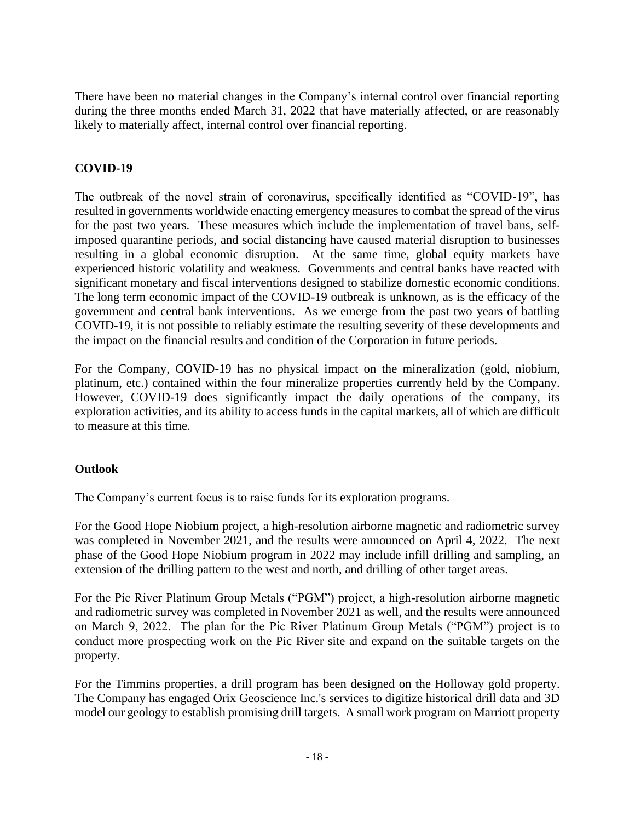There have been no material changes in the Company's internal control over financial reporting during the three months ended March 31, 2022 that have materially affected, or are reasonably likely to materially affect, internal control over financial reporting.

# **COVID-19**

The outbreak of the novel strain of coronavirus, specifically identified as "COVID-19", has resulted in governments worldwide enacting emergency measures to combat the spread of the virus for the past two years. These measures which include the implementation of travel bans, selfimposed quarantine periods, and social distancing have caused material disruption to businesses resulting in a global economic disruption. At the same time, global equity markets have experienced historic volatility and weakness. Governments and central banks have reacted with significant monetary and fiscal interventions designed to stabilize domestic economic conditions. The long term economic impact of the COVID-19 outbreak is unknown, as is the efficacy of the government and central bank interventions. As we emerge from the past two years of battling COVID-19, it is not possible to reliably estimate the resulting severity of these developments and the impact on the financial results and condition of the Corporation in future periods.

For the Company, COVID-19 has no physical impact on the mineralization (gold, niobium, platinum, etc.) contained within the four mineralize properties currently held by the Company. However, COVID-19 does significantly impact the daily operations of the company, its exploration activities, and its ability to access funds in the capital markets, all of which are difficult to measure at this time.

# **Outlook**

The Company's current focus is to raise funds for its exploration programs.

For the Good Hope Niobium project, a high-resolution airborne magnetic and radiometric survey was completed in November 2021, and the results were announced on April 4, 2022. The next phase of the Good Hope Niobium program in 2022 may include infill drilling and sampling, an extension of the drilling pattern to the west and north, and drilling of other target areas.

For the Pic River Platinum Group Metals ("PGM") project, a high-resolution airborne magnetic and radiometric survey was completed in November 2021 as well, and the results were announced on March 9, 2022. The plan for the Pic River Platinum Group Metals ("PGM") project is to conduct more prospecting work on the Pic River site and expand on the suitable targets on the property.

For the Timmins properties, a drill program has been designed on the Holloway gold property. The Company has engaged Orix Geoscience Inc.'s services to digitize historical drill data and 3D model our geology to establish promising drill targets. A small work program on Marriott property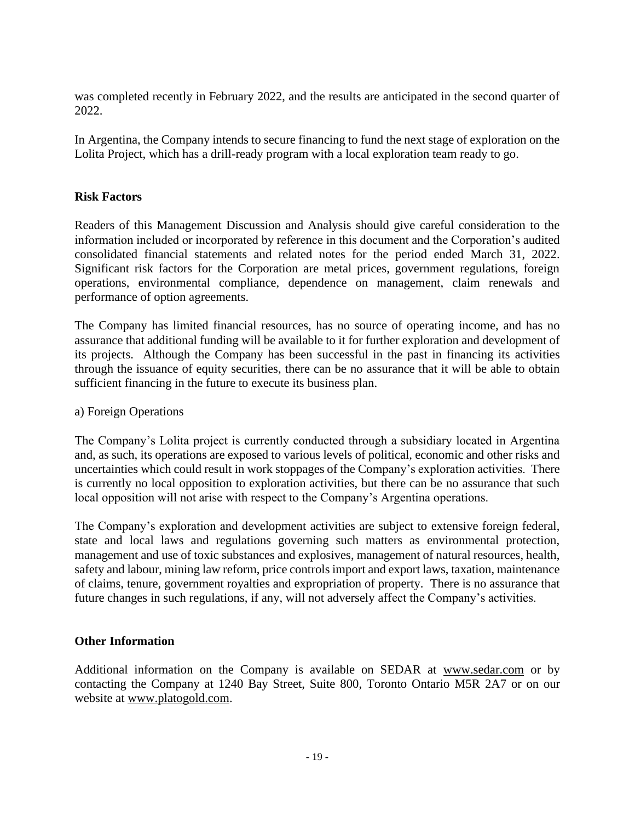was completed recently in February 2022, and the results are anticipated in the second quarter of 2022.

In Argentina, the Company intends to secure financing to fund the next stage of exploration on the Lolita Project, which has a drill-ready program with a local exploration team ready to go.

# **Risk Factors**

Readers of this Management Discussion and Analysis should give careful consideration to the information included or incorporated by reference in this document and the Corporation's audited consolidated financial statements and related notes for the period ended March 31, 2022. Significant risk factors for the Corporation are metal prices, government regulations, foreign operations, environmental compliance, dependence on management, claim renewals and performance of option agreements.

The Company has limited financial resources, has no source of operating income, and has no assurance that additional funding will be available to it for further exploration and development of its projects. Although the Company has been successful in the past in financing its activities through the issuance of equity securities, there can be no assurance that it will be able to obtain sufficient financing in the future to execute its business plan.

#### a) Foreign Operations

The Company's Lolita project is currently conducted through a subsidiary located in Argentina and, as such, its operations are exposed to various levels of political, economic and other risks and uncertainties which could result in work stoppages of the Company's exploration activities. There is currently no local opposition to exploration activities, but there can be no assurance that such local opposition will not arise with respect to the Company's Argentina operations.

The Company's exploration and development activities are subject to extensive foreign federal, state and local laws and regulations governing such matters as environmental protection, management and use of toxic substances and explosives, management of natural resources, health, safety and labour, mining law reform, price controls import and export laws, taxation, maintenance of claims, tenure, government royalties and expropriation of property. There is no assurance that future changes in such regulations, if any, will not adversely affect the Company's activities.

#### **Other Information**

Additional information on the Company is available on SEDAR at [www.sedar.com](http://www.sedar.com/) or by contacting the Company at 1240 Bay Street, Suite 800, Toronto Ontario M5R 2A7 or on our website at [www.platogold.com.](http://www.platogold.com/)